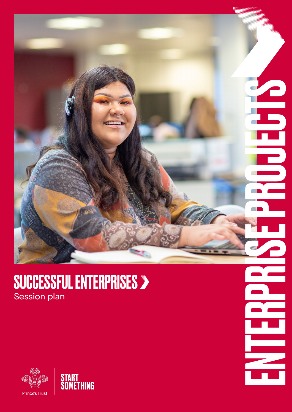

### SUCCESSFUL ENTERPRISES > Session plan



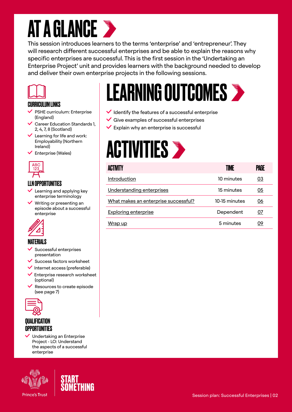### **AT A GLANCE >**

This session introduces learners to the terms 'enterprise' and 'entrepreneur'. They will research different successful enterprises and be able to explain the reasons why specific enterprises are successful. This is the first session in the 'Undertaking an Enterprise Project' unit and provides learners with the background needed to develop and deliver their own enterprise projects in the following sessions.



#### CURRICULUM LINKS

- $\vee$  PSHE curriculum: Enterprise (England)
- $\vee$  Career Education Standards 1, 2, 4, 7, 8 (Scotland)
- Learning for life and work: Employability (Northern Ireland)
- $\checkmark$  Enterprise (Wales)



#### LLN OPPORTUNITIES

- $\vee$  Learning and applying key enterprise terminology
- Writing or presenting an episode about a successful enterprise



#### MATERIALS

- Successful enterprises presentation
- Success factors worksheet
- $\checkmark$  Internet access (preferable)
- Enterprise research worksheet (optional)
- $\vee$  Resources to create episode (see page 7)



#### QUALIFICATION OPPORTUNITIES

 Undertaking an Enterprise Project - LO: Understand the aspects of a successful enterprise



# LEARNING OUTCOMES

- $\vee$  Identify the features of a successful enterprise
- $\checkmark$  Give examples of successful enterprises
- $\vee$  Explain why an enterprise is successful

### **ACTIVITIES >**

| ACTIVITY                             | TIME          | PAGE      |
|--------------------------------------|---------------|-----------|
| Introduction                         | 10 minutes    | <u>03</u> |
| Understanding enterprises            | 15 minutes    | 05        |
| What makes an enterprise successful? | 10-15 minutes | 06        |
| <b>Exploring enterprise</b>          | Dependent     | 07        |
| Wrap up                              | 5 minutes     | 09        |

#### Session plan: Successful Enterprises | 02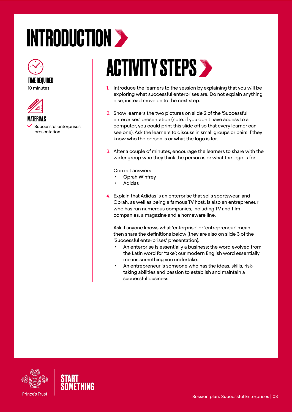## <span id="page-2-0"></span>INTRODUCTION >



#### TIME REQUIRED

10 minutes



**MATFRIALS** 

 Successful enterprises presentation

### ACTIVITY STEPS >

- 1. Introduce the learners to the session by explaining that you will be exploring what successful enterprises are. Do not explain anything else, instead move on to the next step.
- 2. Show learners the two pictures on slide 2 of the 'Successful enterprises' presentation (note: if you don't have access to a computer, you could print this slide off so that every learner can see one). Ask the learners to discuss in small groups or pairs if they know who the person is or what the logo is for.
- 3. After a couple of minutes, encourage the learners to share with the wider group who they think the person is or what the logo is for.

Correct answers:

- Oprah Winfrey
- Adidas
- 4. Explain that Adidas is an enterprise that sells sportswear, and Oprah, as well as being a famous TV host, is also an entrepreneur who has run numerous companies, including TV and film companies, a magazine and a homeware line.

Ask if anyone knows what 'enterprise' or 'entrepreneur' mean, then share the definitions below (they are also on slide 3 of the 'Successful enterprises' presentation).

- An enterprise is essentially a business; the word evolved from the Latin word for 'take'; our modern English word essentially means something you undertake.
- An entrepreneur is someone who has the ideas, skills, risktaking abilities and passion to establish and maintain a successful business.



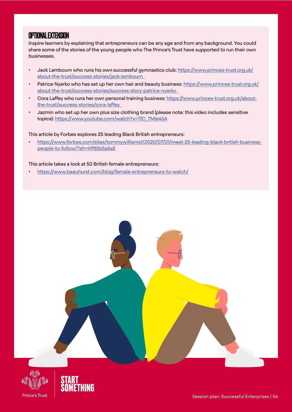### OPTIONAL EXTENSION

Inspire learners by explaining that entrepreneurs can be any age and from any background. You could share some of the stories of the young people who The Prince's Trust have supported to run their own businesses.

- Jack Lambourn who runs his own successful gymnastics club: [https://www.princes-trust.org.uk/](https://www.princes-trust.org.uk/about-the-trust/success-stories/jack-lambourn  ) [about-the-trust/success-stories/jack-lambourn](https://www.princes-trust.org.uk/about-the-trust/success-stories/jack-lambourn  )
- Patrice Nyarko who has set up her own hair and beauty business: [https://www.princes-trust.org.uk/](https://www.princes-trust.org.uk/about-the-trust/success-stories/success-story-patrice-nyarko  ) [about-the-trust/success-stories/success-story-patrice-nyarko](https://www.princes-trust.org.uk/about-the-trust/success-stories/success-story-patrice-nyarko  )
- Cora Laffey who runs her own personal training business: [https://www.princes-trust.org.uk/about](https://www.princes-trust.org.uk/about-the-trust/success-stories/cora-laffey  )[the-trust/success-stories/cora-laffey](https://www.princes-trust.org.uk/about-the-trust/success-stories/cora-laffey  )
- Jazmin who set up her own plus size clothing brand (please note: this video includes sensitive topics): [https://www.youtube.com/watch?v=TfC\\_TMle45A](https://www.youtube.com/watch?v=TfC_TMle45A)

#### This article by Forbes explores 25 leading Black British entrepreneurs:

• [https://www.forbes.com/sites/tommywilliams1/2020/07/01/meet-25-leading-black-british-business](https://www.forbes.com/sites/tommywilliams1/2020/07/01/meet-25-leading-black-british-business-people-to-follow/?sh=4ff85b5a5a5)[people-to-follow/?sh=4ff85b5a5a5](https://www.forbes.com/sites/tommywilliams1/2020/07/01/meet-25-leading-black-british-business-people-to-follow/?sh=4ff85b5a5a5)

#### This article takes a look at 50 British female entrepreneurs:

• <https://www.beauhurst.com/blog/female-entrepreneurs-to-watch/>





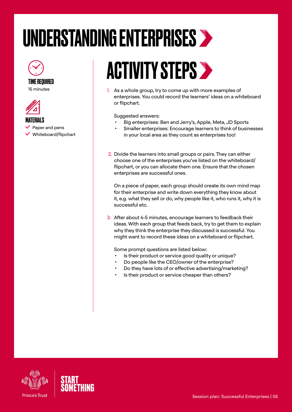### <span id="page-4-0"></span>UNDERSTANDING ENTERPRISES

### TIME REQUIRED

15 minutes



**MATFRIALS**  $\vee$  Paper and pens Whiteboard/flipchart

### ACTIVITY STEPS >

1. As a whole group, try to come up with more examples of enterprises. You could record the learners' ideas on a whiteboard or flipchart.

Suggested answers:

- Big enterprises: Ben and Jerry's, Apple, Meta, JD Sports
- Smaller enterprises: Encourage learners to think of businesses in your local area as they count as enterprises too!
- 2. Divide the learners into small groups or pairs. They can either choose one of the enterprises you've listed on the whiteboard/ flipchart, or you can allocate them one. Ensure that the chosen enterprises are successful ones.

On a piece of paper, each group should create its own mind map for their enterprise and write down everything they know about it, e.g. what they sell or do, why people like it, who runs it, why it is successful etc.

3. After about 4-5 minutes, encourage learners to feedback their ideas. With each group that feeds back, try to get them to explain why they think the enterprise they discussed is successful. You might want to record these ideas on a whiteboard or flipchart.

Some prompt questions are listed below:

- Is their product or service good quality or unique?
- Do people like the CEO/owner of the enterprise?
- Do they have lots of or effective advertising/marketing?
- Is their product or service cheaper than others?



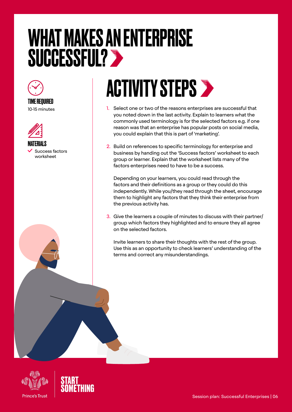### <span id="page-5-0"></span>WHAT MAKES AN ENTERPRISE SUCCESSFUL?





 Success factors worksheet

### **ACTIVITY STEPS >**

- 1. Select one or two of the reasons enterprises are successful that you noted down in the last activity. Explain to learners what the commonly used terminology is for the selected factors e.g. if one reason was that an enterprise has popular posts on social media, you could explain that this is part of 'marketing'.
- 2. Build on references to specific terminology for enterprise and business by handing out the 'Success factors' worksheet to each group or learner. Explain that the worksheet lists many of the factors enterprises need to have to be a success.

Depending on your learners, you could read through the factors and their definitions as a group or they could do this independently. While you/they read through the sheet, encourage them to highlight any factors that they think their enterprise from the previous activity has.

3. Give the learners a couple of minutes to discuss with their partner/ group which factors they highlighted and to ensure they all agree on the selected factors.

Invite learners to share their thoughts with the rest of the group. Use this as an opportunity to check learners' understanding of the terms and correct any misunderstandings.



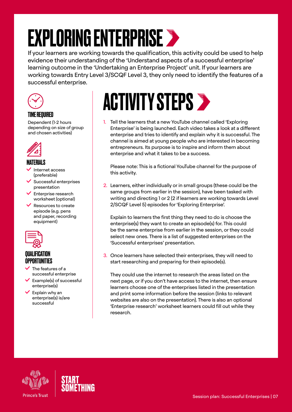### <span id="page-6-0"></span>EXPLORING ENTERPRISE >

If your learners are working towards the qualification, this activity could be used to help evidence their understanding of the 'Understand aspects of a successful enterprise' learning outcome in the 'Undertaking an Enterprise Project' unit. If your learners are working towards Entry Level 3/SCQF Level 3, they only need to identify the features of a successful enterprise.



#### TIME REQUIRED

Dependent (1-2 hours depending on size of group and chosen activities)



#### **MATFRIALS**

- Internet access (preferable)
- Successful enterprises presentation
- Enterprise research worksheet (optional)
- Resources to create episode (e.g. pens and paper, recording equipment)



#### QUALIFICATION OPPORTUNITIES

- The features of a successful enterprise
- Example(s) of successful enterprise(s)
- $\vee$  Explain why an enterprise(s) is/are successful

### **ACTIVITY STEPS >**

1. Tell the learners that a new YouTube channel called 'Exploring Enterprise' is being launched. Each video takes a look at a different enterprise and tries to identify and explain why it is successful. The channel is aimed at young people who are interested in becoming entrepreneurs. Its purpose is to inspire and inform them about enterprise and what it takes to be a success.

Please note: This is a fictional YouTube channel for the purpose of this activity.

2. Learners, either individually or in small groups (these could be the same groups from earlier in the session), have been tasked with writing and directing 1 or 2 (2 if learners are working towards Level 2/SCQF Level 5) episodes for 'Exploring Enterprise'.

Explain to learners the first thing they need to do is choose the enterprise(s) they want to create an episode(s) for. This could be the same enterprise from earlier in the session, or they could select new ones. There is a list of suggested enterprises on the 'Successful enterprises' presentation.

3. Once learners have selected their enterprises, they will need to start researching and preparing for their episode(s).

They could use the internet to research the areas listed on the next page, or if you don't have access to the internet, then ensure learners choose one of the enterprises listed in the presentation and print some information before the session (links to relevant websites are also on the presentation). There is also an optional 'Enterprise research' worksheet learners could fill out while they research.



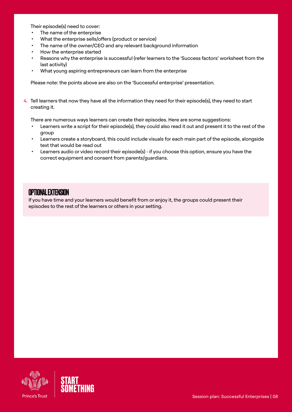Their episode(s) need to cover:

- The name of the enterprise
- What the enterprise sells/offers (product or service)
- The name of the owner/CEO and any relevant background information
- How the enterprise started
- Reasons why the enterprise is successful (refer learners to the 'Success factors' worksheet from the last activity)
- What young aspiring entrepreneurs can learn from the enterprise

Please note: the points above are also on the 'Successful enterprise' presentation.

4. Tell learners that now they have all the information they need for their episode(s), they need to start creating it.

There are numerous ways learners can create their episodes. Here are some suggestions:

- Learners write a script for their episode(s), they could also read it out and present it to the rest of the group
- Learners create a storyboard, this could include visuals for each main part of the episode, alongside text that would be read out
- Learners audio or video record their episode(s) if you choose this option, ensure you have the correct equipment and consent from parents/guardians.

#### OPTIONAL EXTENSION

If you have time and your learners would benefit from or enjoy it, the groups could present their episodes to the rest of the learners or others in your setting.